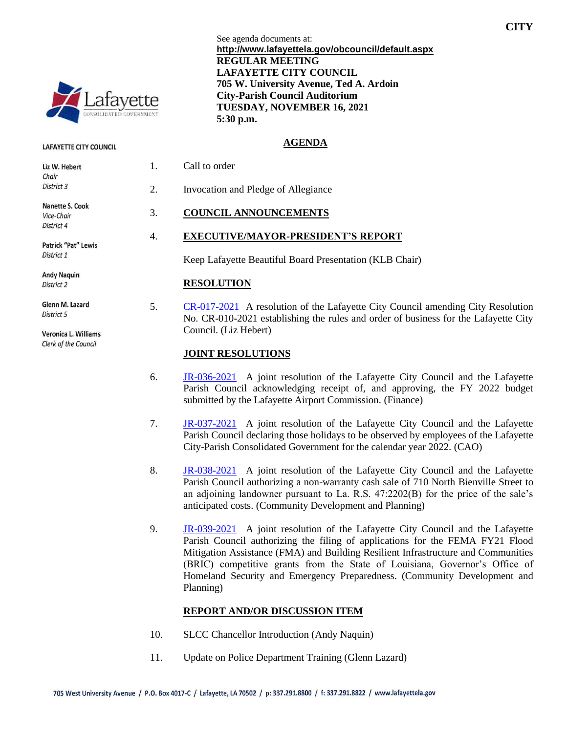

#### **LAFAYETTE CITY COUNCIL**

| Liz W. Hebert       |
|---------------------|
| Chair               |
| District 3          |
| Nanette S. Cook     |
| Vice-Chair          |
| District 4          |
| Patrick "Pat" Lewis |
| District 1          |
| <b>Andy Naguin</b>  |
| District 2          |
| Glenn M. Lazard     |

Veronica L. Williams Clerk of the Council

District 5

See agenda documents at: **http://www.lafayettela.gov/obcouncil/default.aspx REGULAR MEETING LAFAYETTE CITY COUNCIL 705 W. University Avenue, Ted A. Ardoin City-Parish Council Auditorium TUESDAY, NOVEMBER 16, 2021 5:30 p.m.**

#### **AGENDA**

| 2. | Invocation and Pledge of Allegiance |
|----|-------------------------------------|
| 3. | <b>COUNCIL ANNOUNCEMENTS</b>        |

1. Call to order

### 4. **EXECUTIVE/MAYOR-PRESIDENT'S REPORT**

Keep Lafayette Beautiful Board Presentation (KLB Chair)

### **RESOLUTION**

5. [CR-017-2021](http://apps.lafayettela.gov/OBCouncil/ViewDocument.aspx?docID=2064801) A resolution of the Lafayette City Council amending City Resolution No. CR-010-2021 establishing the rules and order of business for the Lafayette City Council. (Liz Hebert)

### **JOINT RESOLUTIONS**

- 6. [JR-036-2021](http://apps.lafayettela.gov/OBCouncil/ViewDocument.aspx?docID=2064804) A joint resolution of the Lafayette City Council and the Lafayette Parish Council acknowledging receipt of, and approving, the FY 2022 budget submitted by the Lafayette Airport Commission. (Finance)
- 7. [JR-037-2021](http://apps.lafayettela.gov/OBCouncil/ViewDocument.aspx?docID=2064750) A joint resolution of the Lafayette City Council and the Lafayette Parish Council declaring those holidays to be observed by employees of the Lafayette City-Parish Consolidated Government for the calendar year 2022. (CAO)
- 8. [JR-038-2021](http://apps.lafayettela.gov/OBCouncil/ViewDocument.aspx?docID=2064752) A joint resolution of the Lafayette City Council and the Lafayette Parish Council authorizing a non-warranty cash sale of 710 North Bienville Street to an adjoining landowner pursuant to La. R.S. 47:2202(B) for the price of the sale's anticipated costs. (Community Development and Planning)
- 9. **[JR-039-2021](http://apps.lafayettela.gov/OBCouncil/ViewDocument.aspx?docID=2064764)** A joint resolution of the Lafayette City Council and the Lafayette Parish Council authorizing the filing of applications for the FEMA FY21 Flood Mitigation Assistance (FMA) and Building Resilient Infrastructure and Communities (BRIC) competitive grants from the State of Louisiana, Governor's Office of Homeland Security and Emergency Preparedness. (Community Development and Planning)

### **REPORT AND/OR DISCUSSION ITEM**

- 10. SLCC Chancellor Introduction (Andy Naquin)
- 11. Update on Police Department Training (Glenn Lazard)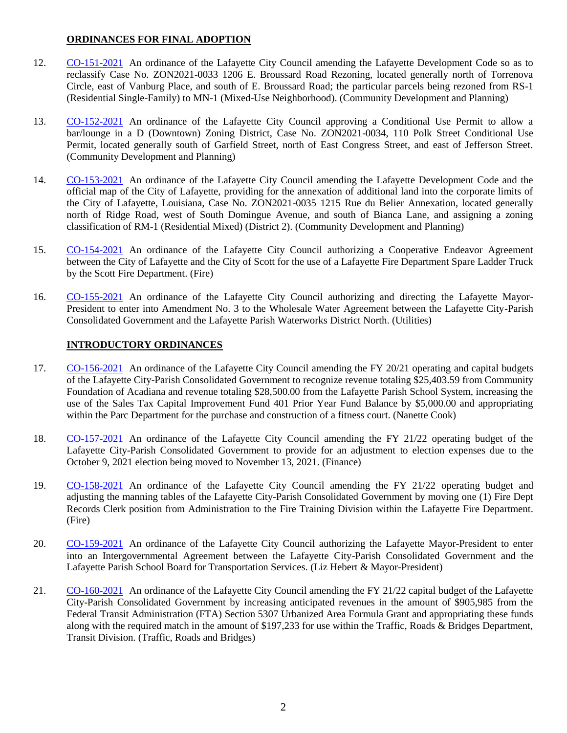## **ORDINANCES FOR FINAL ADOPTION**

- 12. [CO-151-2021](http://apps.lafayettela.gov/OBCouncil/ViewDocument.aspx?docID=2064766) An ordinance of the Lafayette City Council amending the Lafayette Development Code so as to reclassify Case No. ZON2021-0033 1206 E. Broussard Road Rezoning, located generally north of Torrenova Circle, east of Vanburg Place, and south of E. Broussard Road; the particular parcels being rezoned from RS-1 (Residential Single-Family) to MN-1 (Mixed-Use Neighborhood). (Community Development and Planning)
- 13. [CO-152-2021](http://apps.lafayettela.gov/OBCouncil/ViewDocument.aspx?docID=2064767) An ordinance of the Lafayette City Council approving a Conditional Use Permit to allow a bar/lounge in a D (Downtown) Zoning District, Case No. ZON2021-0034, 110 Polk Street Conditional Use Permit, located generally south of Garfield Street, north of East Congress Street, and east of Jefferson Street. (Community Development and Planning)
- 14. [CO-153-2021](http://apps.lafayettela.gov/OBCouncil/ViewDocument.aspx?docID=2064770) An ordinance of the Lafayette City Council amending the Lafayette Development Code and the official map of the City of Lafayette, providing for the annexation of additional land into the corporate limits of the City of Lafayette, Louisiana, Case No. ZON2021-0035 1215 Rue du Belier Annexation, located generally north of Ridge Road, west of South Domingue Avenue, and south of Bianca Lane, and assigning a zoning classification of RM-1 (Residential Mixed) (District 2). (Community Development and Planning)
- 15. [CO-154-2021](http://apps.lafayettela.gov/OBCouncil/ViewDocument.aspx?docID=2064771) An ordinance of the Lafayette City Council authorizing a Cooperative Endeavor Agreement between the City of Lafayette and the City of Scott for the use of a Lafayette Fire Department Spare Ladder Truck by the Scott Fire Department. (Fire)
- 16. [CO-155-2021](http://apps.lafayettela.gov/OBCouncil/ViewDocument.aspx?docID=2064774) An ordinance of the Lafayette City Council authorizing and directing the Lafayette Mayor-President to enter into Amendment No. 3 to the Wholesale Water Agreement between the Lafayette City-Parish Consolidated Government and the Lafayette Parish Waterworks District North. (Utilities)

## **INTRODUCTORY ORDINANCES**

- 17. [CO-156-2021](http://apps.lafayettela.gov/OBCouncil/ViewDocument.aspx?docID=2064776) An ordinance of the Lafayette City Council amending the FY 20/21 operating and capital budgets of the Lafayette City-Parish Consolidated Government to recognize revenue totaling \$25,403.59 from Community Foundation of Acadiana and revenue totaling \$28,500.00 from the Lafayette Parish School System, increasing the use of the Sales Tax Capital Improvement Fund 401 Prior Year Fund Balance by \$5,000.00 and appropriating within the Parc Department for the purchase and construction of a fitness court. (Nanette Cook)
- 18. [CO-157-2021](http://apps.lafayettela.gov/OBCouncil/ViewDocument.aspx?docID=2064778) An ordinance of the Lafayette City Council amending the FY 21/22 operating budget of the Lafayette City-Parish Consolidated Government to provide for an adjustment to election expenses due to the October 9, 2021 election being moved to November 13, 2021. (Finance)
- 19. [CO-158-2021](http://apps.lafayettela.gov/OBCouncil/ViewDocument.aspx?docID=2064779) An ordinance of the Lafayette City Council amending the FY 21/22 operating budget and adjusting the manning tables of the Lafayette City-Parish Consolidated Government by moving one (1) Fire Dept Records Clerk position from Administration to the Fire Training Division within the Lafayette Fire Department. (Fire)
- 20. [CO-159-2021](http://apps.lafayettela.gov/OBCouncil/ViewDocument.aspx?docID=2064782) An ordinance of the Lafayette City Council authorizing the Lafayette Mayor-President to enter into an Intergovernmental Agreement between the Lafayette City-Parish Consolidated Government and the Lafayette Parish School Board for Transportation Services. (Liz Hebert & Mayor-President)
- 21. [CO-160-2021](http://apps.lafayettela.gov/OBCouncil/ViewDocument.aspx?docID=2064783) An ordinance of the Lafayette City Council amending the FY 21/22 capital budget of the Lafayette City-Parish Consolidated Government by increasing anticipated revenues in the amount of \$905,985 from the Federal Transit Administration (FTA) Section 5307 Urbanized Area Formula Grant and appropriating these funds along with the required match in the amount of \$197,233 for use within the Traffic, Roads & Bridges Department, Transit Division. (Traffic, Roads and Bridges)